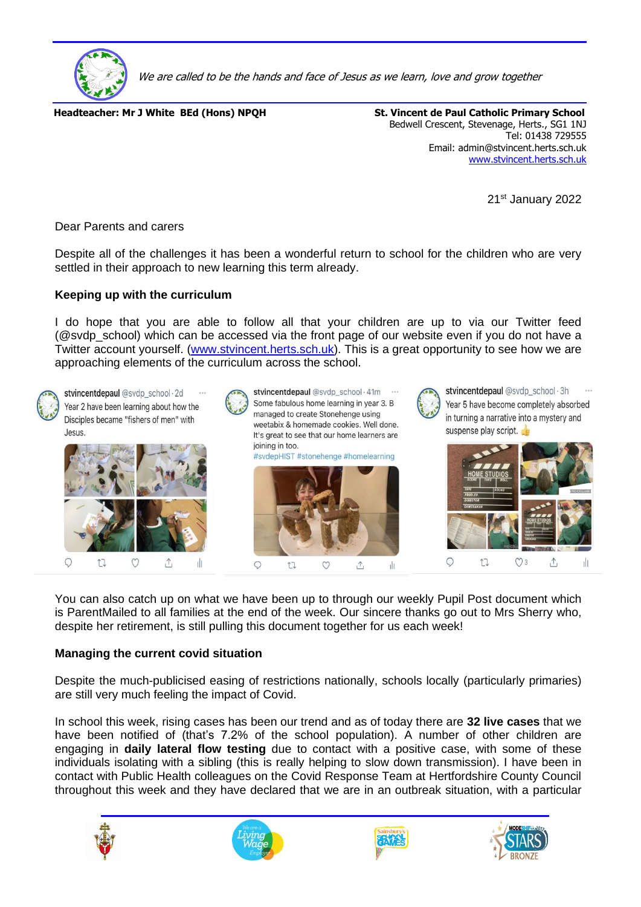

We are called to be the hands and face of Jesus as we learn, love and grow together

**Headteacher: Mr J White BEd (Hons) NPQH St. Vincent de Paul Catholic Primary School** 

Bedwell Crescent, Stevenage, Herts., SG1 1NJ Tel: 01438 729555 Email: admin@stvincent.herts.sch.uk [www.stvincent.herts.sch.uk](http://www.stvincent.herts.sch.uk/)

21st January 2022

Dear Parents and carers

Despite all of the challenges it has been a wonderful return to school for the children who are very settled in their approach to new learning this term already.

#### **Keeping up with the curriculum**

I do hope that you are able to follow all that your children are up to via our Twitter feed (@svdp\_school) which can be accessed via the front page of our website even if you do not have a Twitter account yourself. [\(www.stvincent.herts.sch.uk\)](http://www.stvincent.herts.sch.uk/). This is a great opportunity to see how we are approaching elements of the curriculum across the school.



stvincentdepaul @svdp\_school · 2d Year 2 have been learning about how the Disciples became "fishers of men" with Jesus.









stvincentdepaul @svdp\_school · 3h Year 5 have become completely absorbed in turning a narrative into a mystery and suspense play script.



You can also catch up on what we have been up to through our weekly Pupil Post document which is ParentMailed to all families at the end of the week. Our sincere thanks go out to Mrs Sherry who, despite her retirement, is still pulling this document together for us each week!

#### **Managing the current covid situation**

Despite the much-publicised easing of restrictions nationally, schools locally (particularly primaries) are still very much feeling the impact of Covid.

In school this week, rising cases has been our trend and as of today there are **32 live cases** that we have been notified of (that's 7.2% of the school population). A number of other children are engaging in **daily lateral flow testing** due to contact with a positive case, with some of these individuals isolating with a sibling (this is really helping to slow down transmission). I have been in contact with Public Health colleagues on the Covid Response Team at Hertfordshire County Council throughout this week and they have declared that we are in an outbreak situation, with a particular







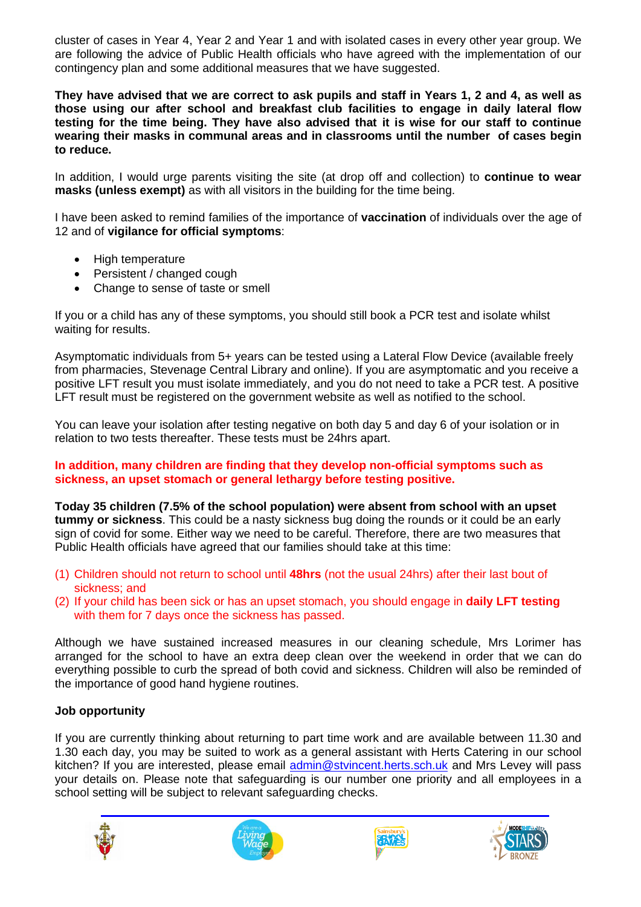cluster of cases in Year 4, Year 2 and Year 1 and with isolated cases in every other year group. We are following the advice of Public Health officials who have agreed with the implementation of our contingency plan and some additional measures that we have suggested.

**They have advised that we are correct to ask pupils and staff in Years 1, 2 and 4, as well as those using our after school and breakfast club facilities to engage in daily lateral flow testing for the time being. They have also advised that it is wise for our staff to continue wearing their masks in communal areas and in classrooms until the number of cases begin to reduce.**

In addition, I would urge parents visiting the site (at drop off and collection) to **continue to wear masks (unless exempt)** as with all visitors in the building for the time being.

I have been asked to remind families of the importance of **vaccination** of individuals over the age of 12 and of **vigilance for official symptoms**:

- High temperature
- Persistent / changed cough
- Change to sense of taste or smell

If you or a child has any of these symptoms, you should still book a PCR test and isolate whilst waiting for results.

Asymptomatic individuals from 5+ years can be tested using a Lateral Flow Device (available freely from pharmacies, Stevenage Central Library and online). If you are asymptomatic and you receive a positive LFT result you must isolate immediately, and you do not need to take a PCR test. A positive LFT result must be registered on the government website as well as notified to the school.

You can leave your isolation after testing negative on both day 5 and day 6 of your isolation or in relation to two tests thereafter. These tests must be 24hrs apart.

### **In addition, many children are finding that they develop non-official symptoms such as sickness, an upset stomach or general lethargy before testing positive.**

**Today 35 children (7.5% of the school population) were absent from school with an upset tummy or sickness**. This could be a nasty sickness bug doing the rounds or it could be an early sign of covid for some. Either way we need to be careful. Therefore, there are two measures that Public Health officials have agreed that our families should take at this time:

- (1) Children should not return to school until **48hrs** (not the usual 24hrs) after their last bout of sickness; and
- (2) If your child has been sick or has an upset stomach, you should engage in **daily LFT testing** with them for 7 days once the sickness has passed.

Although we have sustained increased measures in our cleaning schedule, Mrs Lorimer has arranged for the school to have an extra deep clean over the weekend in order that we can do everything possible to curb the spread of both covid and sickness. Children will also be reminded of the importance of good hand hygiene routines.

### **Job opportunity**

If you are currently thinking about returning to part time work and are available between 11.30 and 1.30 each day, you may be suited to work as a general assistant with Herts Catering in our school kitchen? If you are interested, please email [admin@stvincent.herts.sch.uk](mailto:admin@stvincent.herts.sch.uk) and Mrs Levey will pass your details on. Please note that safeguarding is our number one priority and all employees in a school setting will be subject to relevant safeguarding checks.







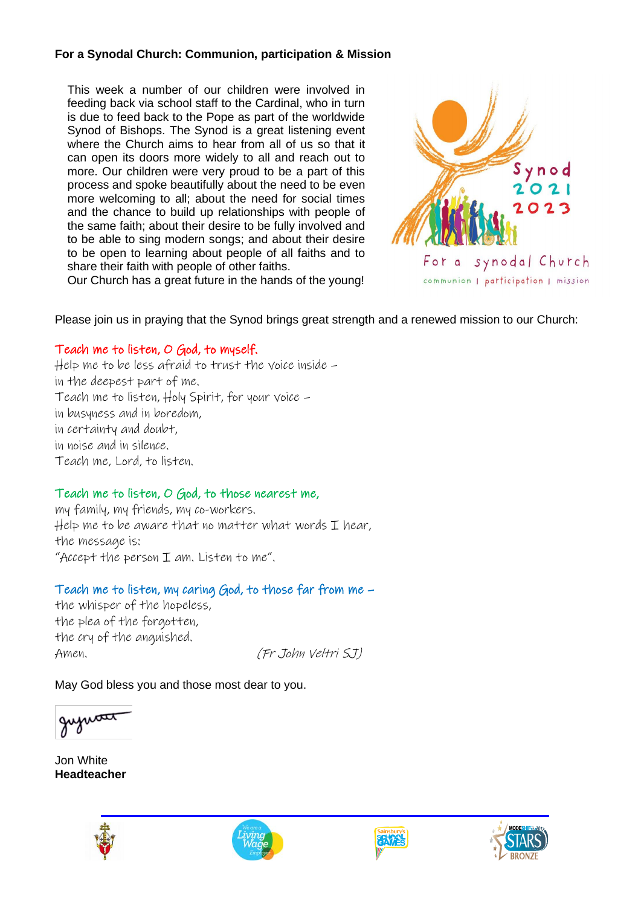### **For a Synodal Church: Communion, participation & Mission**

This week a number of our children were involved in feeding back via school staff to the Cardinal, who in turn is due to feed back to the Pope as part of the worldwide Synod of Bishops. The Synod is a great listening event where the Church aims to hear from all of us so that it can open its doors more widely to all and reach out to more. Our children were very proud to be a part of this process and spoke beautifully about the need to be even more welcoming to all; about the need for social times and the chance to build up relationships with people of the same faith; about their desire to be fully involved and to be able to sing modern songs; and about their desire to be open to learning about people of all faiths and to share their faith with people of other faiths.



Our Church has a great future in the hands of the young!

Please join us in praying that the Synod brings great strength and a renewed mission to our Church:

## Teach me to listen, O God, to myself.

Help me to be less afraid to trust the voice inside – in the deepest part of me. Teach me to listen, Holy Spirit, for your voice – in busyness and in boredom, in certainty and doubt, in noise and in silence. Teach me, Lord, to listen.

## Teach me to listen, O God, to those nearest me,

my family, my friends, my co-workers.  $HeI$  me to be aware that no matter what words  $I$  hear, the message is: "Accept the person  $I$  am. Listen to me".

## Teach me to listen, my caring God, to those far from me –

the whisper of the hopeless, the plea of the forgotten, the cry of the anguished. Amen. (Fr John Veltri SJ)

May God bless you and those most dear to you.

Jon White **Headteacher**